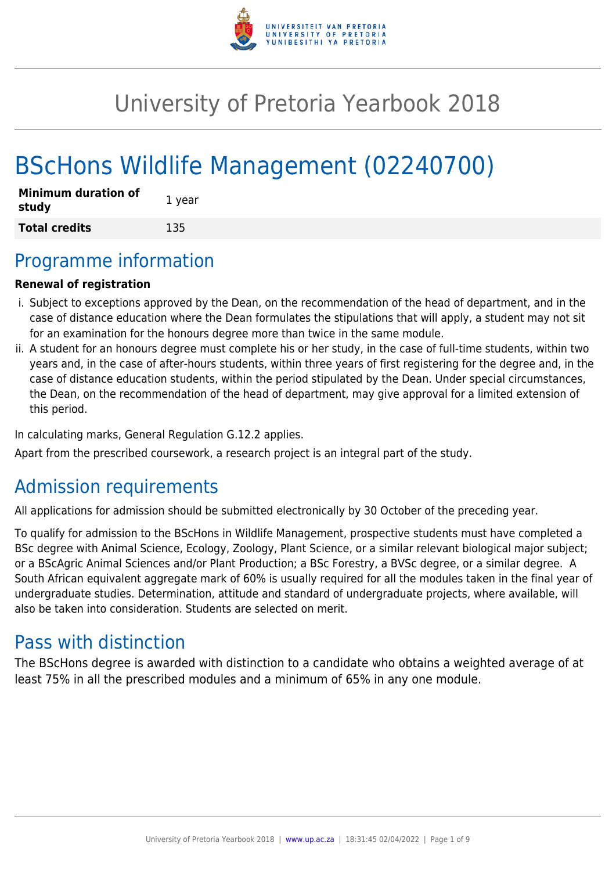

# University of Pretoria Yearbook 2018

# BScHons Wildlife Management (02240700)

| <b>Minimum duration of</b><br>study | 1 year |
|-------------------------------------|--------|
| <b>Total credits</b>                | 135    |

# Programme information

### **Renewal of registration**

- i. Subject to exceptions approved by the Dean, on the recommendation of the head of department, and in the case of distance education where the Dean formulates the stipulations that will apply, a student may not sit for an examination for the honours degree more than twice in the same module.
- ii. A student for an honours degree must complete his or her study, in the case of full-time students, within two years and, in the case of after-hours students, within three years of first registering for the degree and, in the case of distance education students, within the period stipulated by the Dean. Under special circumstances, the Dean, on the recommendation of the head of department, may give approval for a limited extension of this period.

In calculating marks, General Regulation G.12.2 applies.

Apart from the prescribed coursework, a research project is an integral part of the study.

# Admission requirements

All applications for admission should be submitted electronically by 30 October of the preceding year.

To qualify for admission to the BScHons in Wildlife Management, prospective students must have completed a BSc degree with Animal Science, Ecology, Zoology, Plant Science, or a similar relevant biological major subject; or a BScAgric Animal Sciences and/or Plant Production; a BSc Forestry, a BVSc degree, or a similar degree. A South African equivalent aggregate mark of 60% is usually required for all the modules taken in the final year of undergraduate studies. Determination, attitude and standard of undergraduate projects, where available, will also be taken into consideration. Students are selected on merit.

# Pass with distinction

The BScHons degree is awarded with distinction to a candidate who obtains a weighted average of at least 75% in all the prescribed modules and a minimum of 65% in any one module.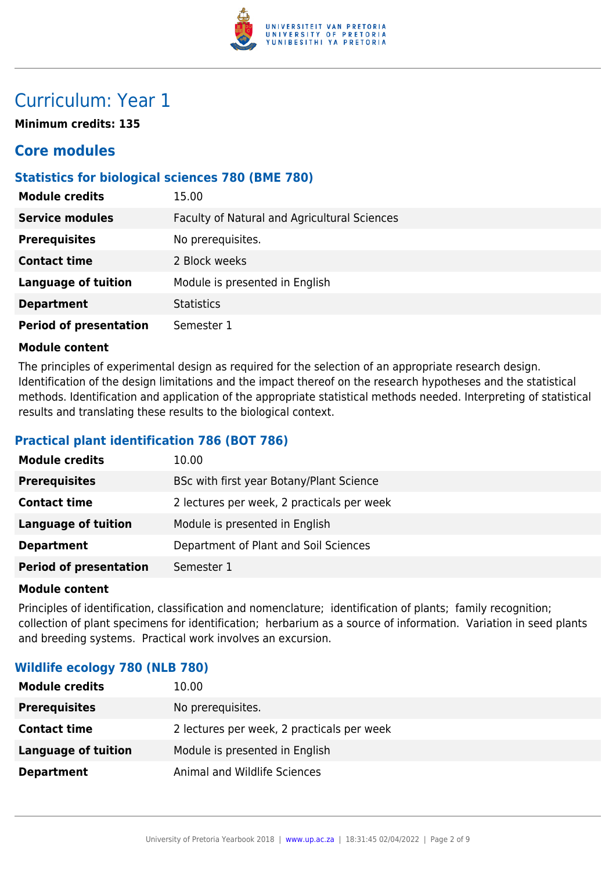

# Curriculum: Year 1

**Minimum credits: 135**

# **Core modules**

### **Statistics for biological sciences 780 (BME 780)**

| <b>Module credits</b>         | 15.00                                        |
|-------------------------------|----------------------------------------------|
| <b>Service modules</b>        | Faculty of Natural and Agricultural Sciences |
| <b>Prerequisites</b>          | No prerequisites.                            |
| <b>Contact time</b>           | 2 Block weeks                                |
| <b>Language of tuition</b>    | Module is presented in English               |
| <b>Department</b>             | <b>Statistics</b>                            |
| <b>Period of presentation</b> | Semester 1                                   |

#### **Module content**

The principles of experimental design as required for the selection of an appropriate research design. Identification of the design limitations and the impact thereof on the research hypotheses and the statistical methods. Identification and application of the appropriate statistical methods needed. Interpreting of statistical results and translating these results to the biological context.

## **Practical plant identification 786 (BOT 786)**

| <b>Module credits</b>         | 10.00                                      |
|-------------------------------|--------------------------------------------|
| <b>Prerequisites</b>          | BSc with first year Botany/Plant Science   |
| <b>Contact time</b>           | 2 lectures per week, 2 practicals per week |
| <b>Language of tuition</b>    | Module is presented in English             |
| <b>Department</b>             | Department of Plant and Soil Sciences      |
| <b>Period of presentation</b> | Semester 1                                 |

#### **Module content**

Principles of identification, classification and nomenclature; identification of plants; family recognition; collection of plant specimens for identification; herbarium as a source of information. Variation in seed plants and breeding systems. Practical work involves an excursion.

#### **Wildlife ecology 780 (NLB 780)**

| <b>Module credits</b> | 10.00                                      |
|-----------------------|--------------------------------------------|
| <b>Prerequisites</b>  | No prerequisites.                          |
| <b>Contact time</b>   | 2 lectures per week, 2 practicals per week |
| Language of tuition   | Module is presented in English             |
| <b>Department</b>     | Animal and Wildlife Sciences               |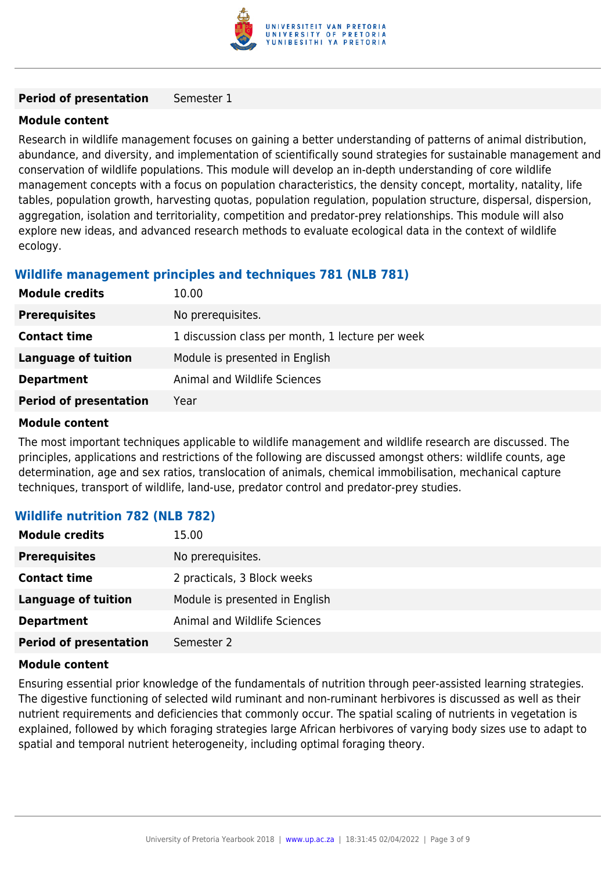

#### **Period of presentation** Semester 1

#### **Module content**

Research in wildlife management focuses on gaining a better understanding of patterns of animal distribution, abundance, and diversity, and implementation of scientifically sound strategies for sustainable management and conservation of wildlife populations. This module will develop an in-depth understanding of core wildlife management concepts with a focus on population characteristics, the density concept, mortality, natality, life tables, population growth, harvesting quotas, population regulation, population structure, dispersal, dispersion, aggregation, isolation and territoriality, competition and predator-prey relationships. This module will also explore new ideas, and advanced research methods to evaluate ecological data in the context of wildlife ecology.

### **Wildlife management principles and techniques 781 (NLB 781)**

| <b>Module credits</b>         | 10.00                                            |
|-------------------------------|--------------------------------------------------|
| <b>Prerequisites</b>          | No prerequisites.                                |
| <b>Contact time</b>           | 1 discussion class per month, 1 lecture per week |
| Language of tuition           | Module is presented in English                   |
| <b>Department</b>             | Animal and Wildlife Sciences                     |
| <b>Period of presentation</b> | Year                                             |

#### **Module content**

The most important techniques applicable to wildlife management and wildlife research are discussed. The principles, applications and restrictions of the following are discussed amongst others: wildlife counts, age determination, age and sex ratios, translocation of animals, chemical immobilisation, mechanical capture techniques, transport of wildlife, land-use, predator control and predator-prey studies.

#### **Wildlife nutrition 782 (NLB 782)**

| <b>Module credits</b>         | 15.00                          |
|-------------------------------|--------------------------------|
| <b>Prerequisites</b>          | No prerequisites.              |
| <b>Contact time</b>           | 2 practicals, 3 Block weeks    |
| <b>Language of tuition</b>    | Module is presented in English |
| <b>Department</b>             | Animal and Wildlife Sciences   |
| <b>Period of presentation</b> | Semester 2                     |

#### **Module content**

Ensuring essential prior knowledge of the fundamentals of nutrition through peer-assisted learning strategies. The digestive functioning of selected wild ruminant and non-ruminant herbivores is discussed as well as their nutrient requirements and deficiencies that commonly occur. The spatial scaling of nutrients in vegetation is explained, followed by which foraging strategies large African herbivores of varying body sizes use to adapt to spatial and temporal nutrient heterogeneity, including optimal foraging theory.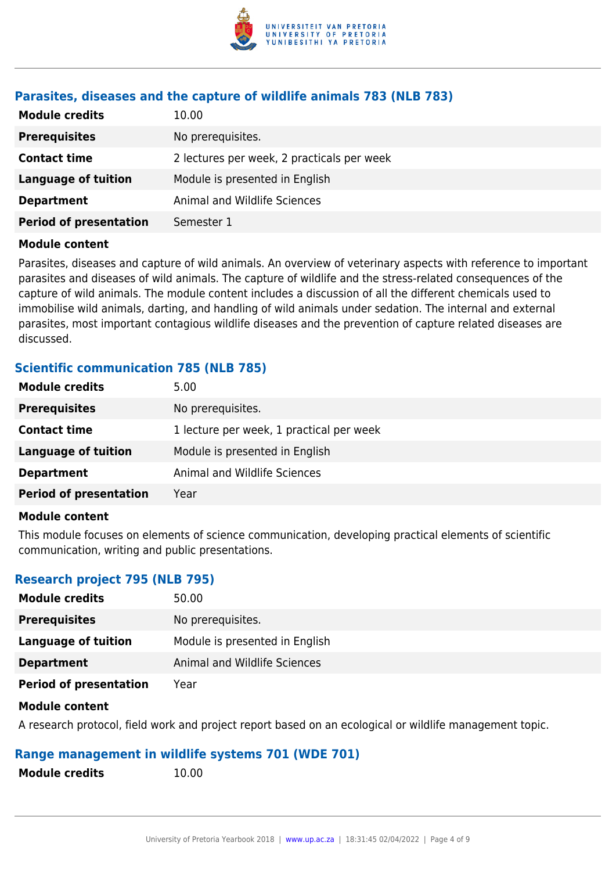

## **Parasites, diseases and the capture of wildlife animals 783 (NLB 783)**

| <b>Module credits</b>         | 10.00                                      |
|-------------------------------|--------------------------------------------|
| <b>Prerequisites</b>          | No prerequisites.                          |
| <b>Contact time</b>           | 2 lectures per week, 2 practicals per week |
| <b>Language of tuition</b>    | Module is presented in English             |
| <b>Department</b>             | Animal and Wildlife Sciences               |
| <b>Period of presentation</b> | Semester 1                                 |

#### **Module content**

Parasites, diseases and capture of wild animals. An overview of veterinary aspects with reference to important parasites and diseases of wild animals. The capture of wildlife and the stress-related consequences of the capture of wild animals. The module content includes a discussion of all the different chemicals used to immobilise wild animals, darting, and handling of wild animals under sedation. The internal and external parasites, most important contagious wildlife diseases and the prevention of capture related diseases are discussed.

#### **Scientific communication 785 (NLB 785)**

| <b>Module credits</b>         | 5.00                                     |
|-------------------------------|------------------------------------------|
| <b>Prerequisites</b>          | No prerequisites.                        |
| <b>Contact time</b>           | 1 lecture per week, 1 practical per week |
| Language of tuition           | Module is presented in English           |
| <b>Department</b>             | Animal and Wildlife Sciences             |
| <b>Period of presentation</b> | Year                                     |
|                               |                                          |

#### **Module content**

This module focuses on elements of science communication, developing practical elements of scientific communication, writing and public presentations.

#### **Research project 795 (NLB 795)**

| <b>Module credits</b>         | 50.00                          |
|-------------------------------|--------------------------------|
| <b>Prerequisites</b>          | No prerequisites.              |
| Language of tuition           | Module is presented in English |
| <b>Department</b>             | Animal and Wildlife Sciences   |
| <b>Period of presentation</b> | Year                           |

#### **Module content**

A research protocol, field work and project report based on an ecological or wildlife management topic.

#### **Range management in wildlife systems 701 (WDE 701)**

**Module credits** 10.00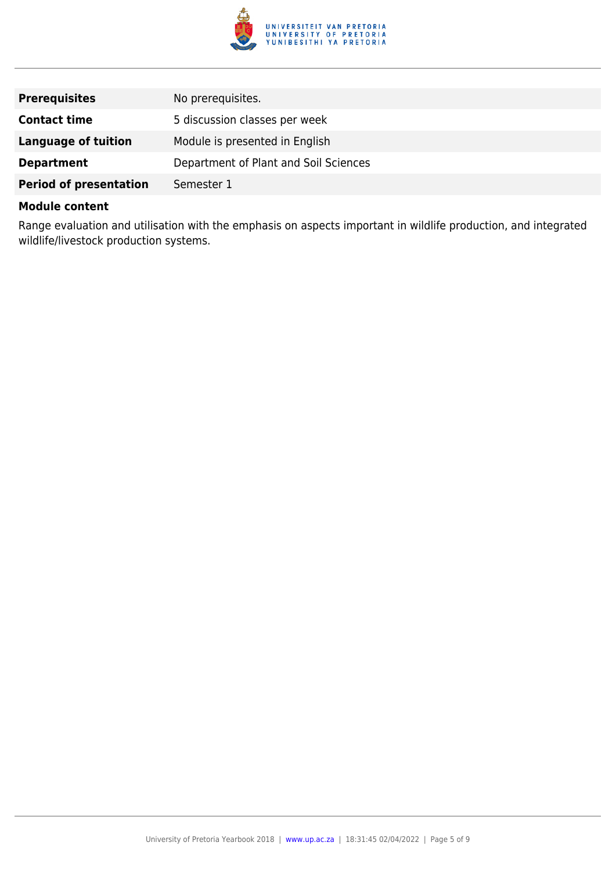

| <b>Prerequisites</b>          | No prerequisites.                     |
|-------------------------------|---------------------------------------|
| <b>Contact time</b>           | 5 discussion classes per week         |
| Language of tuition           | Module is presented in English        |
| <b>Department</b>             | Department of Plant and Soil Sciences |
| <b>Period of presentation</b> | Semester 1                            |

#### **Module content**

Range evaluation and utilisation with the emphasis on aspects important in wildlife production, and integrated wildlife/livestock production systems.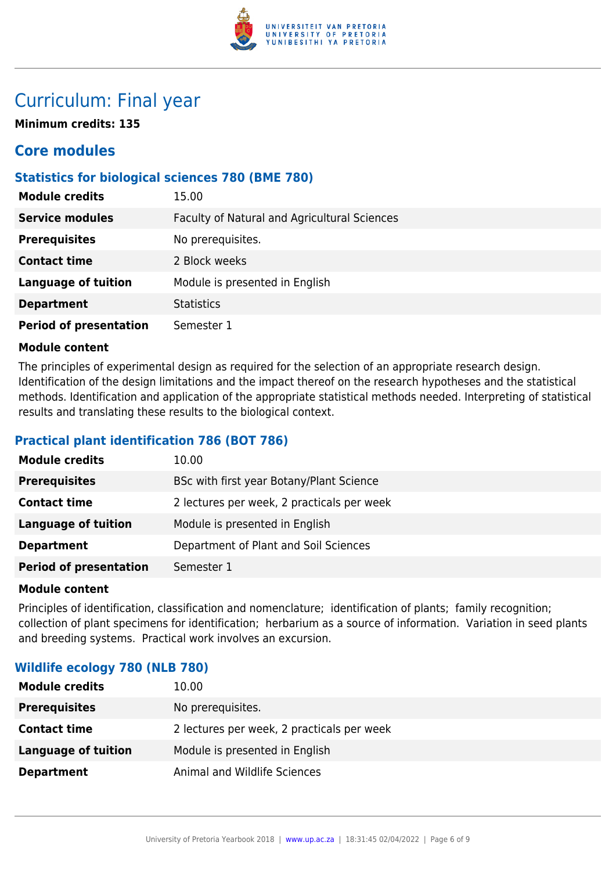

# Curriculum: Final year

**Minimum credits: 135**

# **Core modules**

# **Statistics for biological sciences 780 (BME 780)**

| <b>Module credits</b>         | 15.00                                        |
|-------------------------------|----------------------------------------------|
| <b>Service modules</b>        | Faculty of Natural and Agricultural Sciences |
| <b>Prerequisites</b>          | No prerequisites.                            |
| <b>Contact time</b>           | 2 Block weeks                                |
| <b>Language of tuition</b>    | Module is presented in English               |
| <b>Department</b>             | <b>Statistics</b>                            |
| <b>Period of presentation</b> | Semester 1                                   |

#### **Module content**

The principles of experimental design as required for the selection of an appropriate research design. Identification of the design limitations and the impact thereof on the research hypotheses and the statistical methods. Identification and application of the appropriate statistical methods needed. Interpreting of statistical results and translating these results to the biological context.

# **Practical plant identification 786 (BOT 786)**

| <b>Module credits</b>         | 10.00                                      |
|-------------------------------|--------------------------------------------|
| <b>Prerequisites</b>          | BSc with first year Botany/Plant Science   |
| <b>Contact time</b>           | 2 lectures per week, 2 practicals per week |
| <b>Language of tuition</b>    | Module is presented in English             |
| <b>Department</b>             | Department of Plant and Soil Sciences      |
| <b>Period of presentation</b> | Semester 1                                 |

#### **Module content**

Principles of identification, classification and nomenclature; identification of plants; family recognition; collection of plant specimens for identification; herbarium as a source of information. Variation in seed plants and breeding systems. Practical work involves an excursion.

#### **Wildlife ecology 780 (NLB 780)**

| <b>Module credits</b> | 10.00                                      |
|-----------------------|--------------------------------------------|
| <b>Prerequisites</b>  | No prerequisites.                          |
| <b>Contact time</b>   | 2 lectures per week, 2 practicals per week |
| Language of tuition   | Module is presented in English             |
| <b>Department</b>     | Animal and Wildlife Sciences               |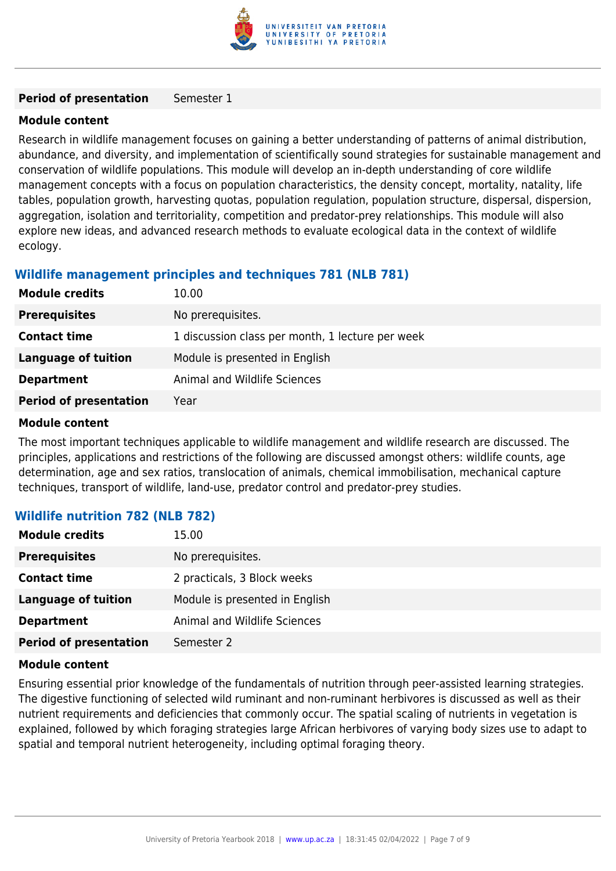

#### **Period of presentation** Semester 1

#### **Module content**

Research in wildlife management focuses on gaining a better understanding of patterns of animal distribution, abundance, and diversity, and implementation of scientifically sound strategies for sustainable management and conservation of wildlife populations. This module will develop an in-depth understanding of core wildlife management concepts with a focus on population characteristics, the density concept, mortality, natality, life tables, population growth, harvesting quotas, population regulation, population structure, dispersal, dispersion, aggregation, isolation and territoriality, competition and predator-prey relationships. This module will also explore new ideas, and advanced research methods to evaluate ecological data in the context of wildlife ecology.

### **Wildlife management principles and techniques 781 (NLB 781)**

| <b>Module credits</b>         | 10.00                                            |
|-------------------------------|--------------------------------------------------|
| <b>Prerequisites</b>          | No prerequisites.                                |
| <b>Contact time</b>           | 1 discussion class per month, 1 lecture per week |
| Language of tuition           | Module is presented in English                   |
| <b>Department</b>             | Animal and Wildlife Sciences                     |
| <b>Period of presentation</b> | Year                                             |

#### **Module content**

The most important techniques applicable to wildlife management and wildlife research are discussed. The principles, applications and restrictions of the following are discussed amongst others: wildlife counts, age determination, age and sex ratios, translocation of animals, chemical immobilisation, mechanical capture techniques, transport of wildlife, land-use, predator control and predator-prey studies.

#### **Wildlife nutrition 782 (NLB 782)**

| <b>Module credits</b>         | 15.00                          |
|-------------------------------|--------------------------------|
| <b>Prerequisites</b>          | No prerequisites.              |
| <b>Contact time</b>           | 2 practicals, 3 Block weeks    |
| <b>Language of tuition</b>    | Module is presented in English |
| <b>Department</b>             | Animal and Wildlife Sciences   |
| <b>Period of presentation</b> | Semester 2                     |

#### **Module content**

Ensuring essential prior knowledge of the fundamentals of nutrition through peer-assisted learning strategies. The digestive functioning of selected wild ruminant and non-ruminant herbivores is discussed as well as their nutrient requirements and deficiencies that commonly occur. The spatial scaling of nutrients in vegetation is explained, followed by which foraging strategies large African herbivores of varying body sizes use to adapt to spatial and temporal nutrient heterogeneity, including optimal foraging theory.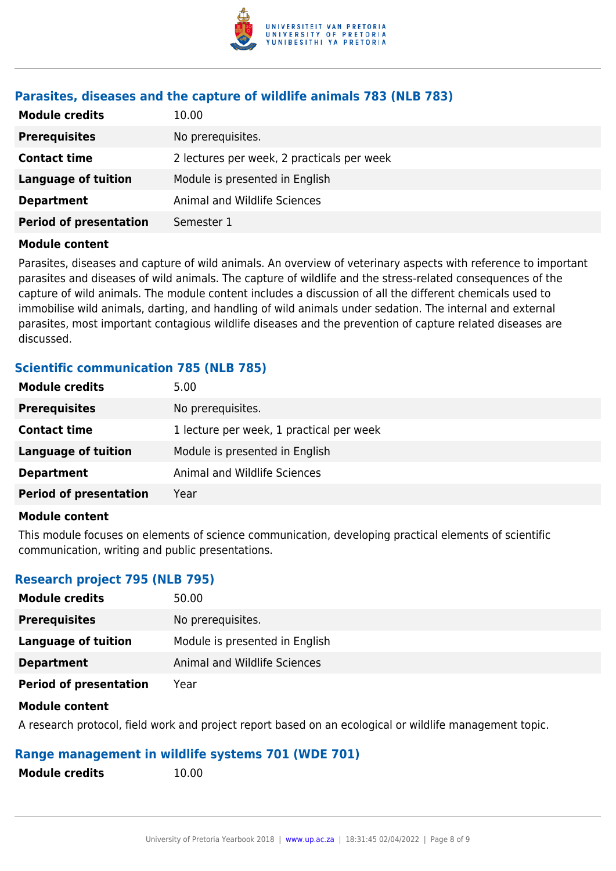

## **Parasites, diseases and the capture of wildlife animals 783 (NLB 783)**

| <b>Module credits</b>         | 10.00                                      |
|-------------------------------|--------------------------------------------|
| <b>Prerequisites</b>          | No prerequisites.                          |
| <b>Contact time</b>           | 2 lectures per week, 2 practicals per week |
| <b>Language of tuition</b>    | Module is presented in English             |
| <b>Department</b>             | Animal and Wildlife Sciences               |
| <b>Period of presentation</b> | Semester 1                                 |

#### **Module content**

Parasites, diseases and capture of wild animals. An overview of veterinary aspects with reference to important parasites and diseases of wild animals. The capture of wildlife and the stress-related consequences of the capture of wild animals. The module content includes a discussion of all the different chemicals used to immobilise wild animals, darting, and handling of wild animals under sedation. The internal and external parasites, most important contagious wildlife diseases and the prevention of capture related diseases are discussed.

#### **Scientific communication 785 (NLB 785)**

| <b>Module credits</b>         | 5.00                                     |
|-------------------------------|------------------------------------------|
| <b>Prerequisites</b>          | No prerequisites.                        |
| <b>Contact time</b>           | 1 lecture per week, 1 practical per week |
| Language of tuition           | Module is presented in English           |
| <b>Department</b>             | Animal and Wildlife Sciences             |
| <b>Period of presentation</b> | Year                                     |
|                               |                                          |

#### **Module content**

This module focuses on elements of science communication, developing practical elements of scientific communication, writing and public presentations.

#### **Research project 795 (NLB 795)**

| <b>Module credits</b>         | 50.00                          |
|-------------------------------|--------------------------------|
| <b>Prerequisites</b>          | No prerequisites.              |
| Language of tuition           | Module is presented in English |
| <b>Department</b>             | Animal and Wildlife Sciences   |
| <b>Period of presentation</b> | Year                           |

#### **Module content**

A research protocol, field work and project report based on an ecological or wildlife management topic.

#### **Range management in wildlife systems 701 (WDE 701)**

**Module credits** 10.00